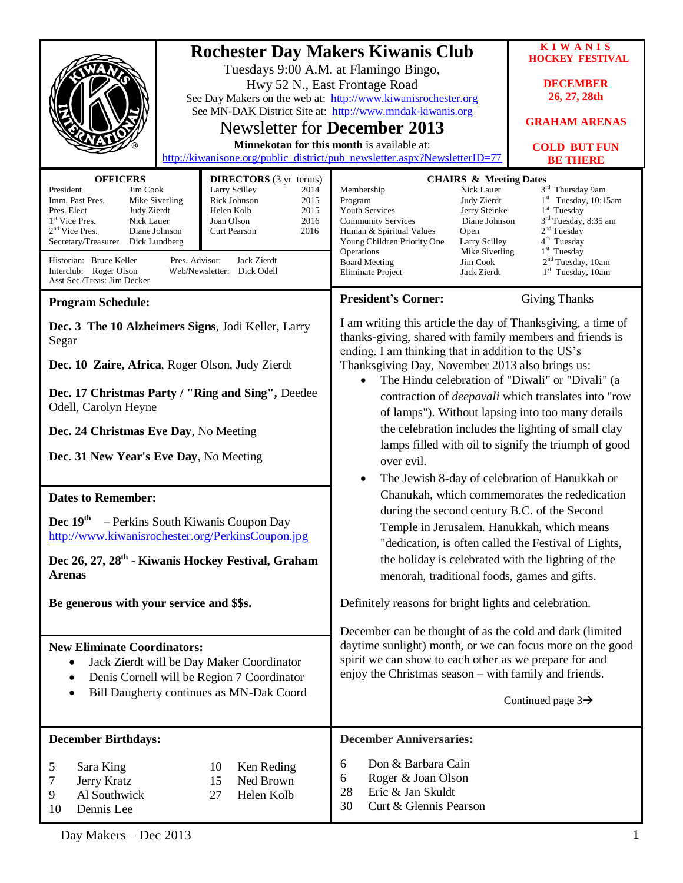|                                                                                                                                                                                                                                                                                                                                                                                                                                                                                                                          |                  | <b>Rochester Day Makers Kiwanis Club</b>                                                                                                                                                                                                                                                                                                                                                                                                                                                                                                                                                                         | <b>KIWANIS</b>                         |
|--------------------------------------------------------------------------------------------------------------------------------------------------------------------------------------------------------------------------------------------------------------------------------------------------------------------------------------------------------------------------------------------------------------------------------------------------------------------------------------------------------------------------|------------------|------------------------------------------------------------------------------------------------------------------------------------------------------------------------------------------------------------------------------------------------------------------------------------------------------------------------------------------------------------------------------------------------------------------------------------------------------------------------------------------------------------------------------------------------------------------------------------------------------------------|----------------------------------------|
| Tuesdays 9:00 A.M. at Flamingo Bingo,                                                                                                                                                                                                                                                                                                                                                                                                                                                                                    |                  |                                                                                                                                                                                                                                                                                                                                                                                                                                                                                                                                                                                                                  | <b>HOCKEY FESTIVAL</b>                 |
|                                                                                                                                                                                                                                                                                                                                                                                                                                                                                                                          |                  | Hwy 52 N., East Frontage Road                                                                                                                                                                                                                                                                                                                                                                                                                                                                                                                                                                                    | <b>DECEMBER</b>                        |
|                                                                                                                                                                                                                                                                                                                                                                                                                                                                                                                          |                  | See Day Makers on the web at: http://www.kiwanisrochester.org                                                                                                                                                                                                                                                                                                                                                                                                                                                                                                                                                    | 26, 27, 28th                           |
|                                                                                                                                                                                                                                                                                                                                                                                                                                                                                                                          |                  | See MN-DAK District Site at: http://www.mndak-kiwanis.org<br>Newsletter for <b>December 2013</b>                                                                                                                                                                                                                                                                                                                                                                                                                                                                                                                 | <b>GRAHAM ARENAS</b>                   |
|                                                                                                                                                                                                                                                                                                                                                                                                                                                                                                                          |                  | Minnekotan for this month is available at:                                                                                                                                                                                                                                                                                                                                                                                                                                                                                                                                                                       |                                        |
|                                                                                                                                                                                                                                                                                                                                                                                                                                                                                                                          |                  | http://kiwanisone.org/public_district/pub_newsletter.aspx?NewsletterID=77                                                                                                                                                                                                                                                                                                                                                                                                                                                                                                                                        | <b>COLD BUT FUN</b><br><b>BE THERE</b> |
| <b>OFFICERS</b><br><b>DIRECTORS</b> (3 yr terms)<br>President<br>Larry Scilley<br>2014<br>Jim Cook<br>Mike Siverling<br>Rick Johnson<br>2015<br>Imm. Past Pres.<br>Helen Kolb<br>2015<br>Pres. Elect<br>Judy Zierdt<br>1 <sup>st</sup> Vice Pres.<br>Nick Lauer<br>2016<br>Joan Olson<br>2 <sup>nd</sup> Vice Pres.<br>Diane Johnson<br>2016<br>Curt Pearson<br>Secretary/Treasurer<br>Dick Lundberg<br>Pres. Advisor:<br>Historian: Bruce Keller<br>Jack Zierdt<br>Interclub: Roger Olson<br>Web/Newsletter: Dick Odell |                  | <b>CHAIRS &amp; Meeting Dates</b><br>3rd Thursday 9am<br>Nick Lauer<br>Membership<br>$1st$ Tuesday, 10:15am<br>Judy Zierdt<br>Program<br>Youth Services<br>Jerry Steinke<br>$1st$ Tuesday<br>3 <sup>rd</sup> Tuesday, 8:35 am<br>Diane Johnson<br><b>Community Services</b><br>2 <sup>nd</sup> Tuesday<br>Human & Spiritual Values<br>Open<br>4 <sup>th</sup> Tuesday<br>Young Children Priority One<br>Larry Scilley<br>1 <sup>st</sup> Tuesday<br>Mike Siverling<br>Operations<br>2 <sup>nd</sup> Tuesday, 10am<br><b>Board Meeting</b><br>Jim Cook<br>$1st$ Tuesday, 10am<br>Jack Zierdt<br>Eliminate Project |                                        |
| Asst Sec./Treas: Jim Decker                                                                                                                                                                                                                                                                                                                                                                                                                                                                                              |                  |                                                                                                                                                                                                                                                                                                                                                                                                                                                                                                                                                                                                                  |                                        |
| <b>Program Schedule:</b>                                                                                                                                                                                                                                                                                                                                                                                                                                                                                                 |                  | <b>President's Corner:</b>                                                                                                                                                                                                                                                                                                                                                                                                                                                                                                                                                                                       | <b>Giving Thanks</b>                   |
| Dec. 3 The 10 Alzheimers Signs, Jodi Keller, Larry<br>Segar                                                                                                                                                                                                                                                                                                                                                                                                                                                              |                  | I am writing this article the day of Thanksgiving, a time of<br>thanks-giving, shared with family members and friends is<br>ending. I am thinking that in addition to the US's<br>Thanksgiving Day, November 2013 also brings us:<br>The Hindu celebration of "Diwali" or "Divali" (a<br>contraction of <i>deepavali</i> which translates into "row<br>of lamps"). Without lapsing into too many details                                                                                                                                                                                                         |                                        |
| Dec. 10 Zaire, Africa, Roger Olson, Judy Zierdt                                                                                                                                                                                                                                                                                                                                                                                                                                                                          |                  |                                                                                                                                                                                                                                                                                                                                                                                                                                                                                                                                                                                                                  |                                        |
| Dec. 17 Christmas Party / "Ring and Sing", Deedee<br>Odell, Carolyn Heyne                                                                                                                                                                                                                                                                                                                                                                                                                                                |                  |                                                                                                                                                                                                                                                                                                                                                                                                                                                                                                                                                                                                                  |                                        |
| Dec. 24 Christmas Eve Day, No Meeting                                                                                                                                                                                                                                                                                                                                                                                                                                                                                    |                  | the celebration includes the lighting of small clay                                                                                                                                                                                                                                                                                                                                                                                                                                                                                                                                                              |                                        |
| Dec. 31 New Year's Eve Day, No Meeting                                                                                                                                                                                                                                                                                                                                                                                                                                                                                   |                  | lamps filled with oil to signify the triumph of good                                                                                                                                                                                                                                                                                                                                                                                                                                                                                                                                                             |                                        |
|                                                                                                                                                                                                                                                                                                                                                                                                                                                                                                                          |                  | over evil.<br>The Jewish 8-day of celebration of Hanukkah or<br>Chanukah, which commemorates the rededication                                                                                                                                                                                                                                                                                                                                                                                                                                                                                                    |                                        |
| <b>Dates to Remember:</b>                                                                                                                                                                                                                                                                                                                                                                                                                                                                                                |                  |                                                                                                                                                                                                                                                                                                                                                                                                                                                                                                                                                                                                                  |                                        |
|                                                                                                                                                                                                                                                                                                                                                                                                                                                                                                                          |                  | during the second century B.C. of the Second                                                                                                                                                                                                                                                                                                                                                                                                                                                                                                                                                                     |                                        |
| Dec $19th$<br>- Perkins South Kiwanis Coupon Day<br>http://www.kiwanisrochester.org/PerkinsCoupon.jpg                                                                                                                                                                                                                                                                                                                                                                                                                    |                  | Temple in Jerusalem. Hanukkah, which means                                                                                                                                                                                                                                                                                                                                                                                                                                                                                                                                                                       |                                        |
|                                                                                                                                                                                                                                                                                                                                                                                                                                                                                                                          |                  | "dedication, is often called the Festival of Lights,<br>the holiday is celebrated with the lighting of the                                                                                                                                                                                                                                                                                                                                                                                                                                                                                                       |                                        |
| Dec 26, 27, 28 <sup>th</sup> - Kiwanis Hockey Festival, Graham<br><b>Arenas</b>                                                                                                                                                                                                                                                                                                                                                                                                                                          |                  | menorah, traditional foods, games and gifts.                                                                                                                                                                                                                                                                                                                                                                                                                                                                                                                                                                     |                                        |
|                                                                                                                                                                                                                                                                                                                                                                                                                                                                                                                          |                  |                                                                                                                                                                                                                                                                                                                                                                                                                                                                                                                                                                                                                  |                                        |
| Be generous with your service and \$\$s.                                                                                                                                                                                                                                                                                                                                                                                                                                                                                 |                  | Definitely reasons for bright lights and celebration.                                                                                                                                                                                                                                                                                                                                                                                                                                                                                                                                                            |                                        |
|                                                                                                                                                                                                                                                                                                                                                                                                                                                                                                                          |                  | December can be thought of as the cold and dark (limited                                                                                                                                                                                                                                                                                                                                                                                                                                                                                                                                                         |                                        |
| <b>New Eliminate Coordinators:</b>                                                                                                                                                                                                                                                                                                                                                                                                                                                                                       |                  | daytime sunlight) month, or we can focus more on the good<br>spirit we can show to each other as we prepare for and                                                                                                                                                                                                                                                                                                                                                                                                                                                                                              |                                        |
| Jack Zierdt will be Day Maker Coordinator<br>Denis Cornell will be Region 7 Coordinator<br>٠                                                                                                                                                                                                                                                                                                                                                                                                                             |                  | enjoy the Christmas season – with family and friends.                                                                                                                                                                                                                                                                                                                                                                                                                                                                                                                                                            |                                        |
| Bill Daugherty continues as MN-Dak Coord                                                                                                                                                                                                                                                                                                                                                                                                                                                                                 |                  | Continued page $3\rightarrow$                                                                                                                                                                                                                                                                                                                                                                                                                                                                                                                                                                                    |                                        |
|                                                                                                                                                                                                                                                                                                                                                                                                                                                                                                                          |                  |                                                                                                                                                                                                                                                                                                                                                                                                                                                                                                                                                                                                                  |                                        |
| <b>December Birthdays:</b>                                                                                                                                                                                                                                                                                                                                                                                                                                                                                               |                  | <b>December Anniversaries:</b>                                                                                                                                                                                                                                                                                                                                                                                                                                                                                                                                                                                   |                                        |
| Sara King<br>5                                                                                                                                                                                                                                                                                                                                                                                                                                                                                                           | 10<br>Ken Reding | Don & Barbara Cain<br>6                                                                                                                                                                                                                                                                                                                                                                                                                                                                                                                                                                                          |                                        |
| Jerry Kratz<br>7                                                                                                                                                                                                                                                                                                                                                                                                                                                                                                         | Ned Brown<br>15  | Roger & Joan Olson<br>6                                                                                                                                                                                                                                                                                                                                                                                                                                                                                                                                                                                          |                                        |
| Al Southwick<br>9                                                                                                                                                                                                                                                                                                                                                                                                                                                                                                        | Helen Kolb<br>27 | Eric & Jan Skuldt<br>28<br>Curt & Glennis Pearson<br>30                                                                                                                                                                                                                                                                                                                                                                                                                                                                                                                                                          |                                        |
| Dennis Lee<br>10                                                                                                                                                                                                                                                                                                                                                                                                                                                                                                         |                  |                                                                                                                                                                                                                                                                                                                                                                                                                                                                                                                                                                                                                  |                                        |

Day Makers – Dec 2013 1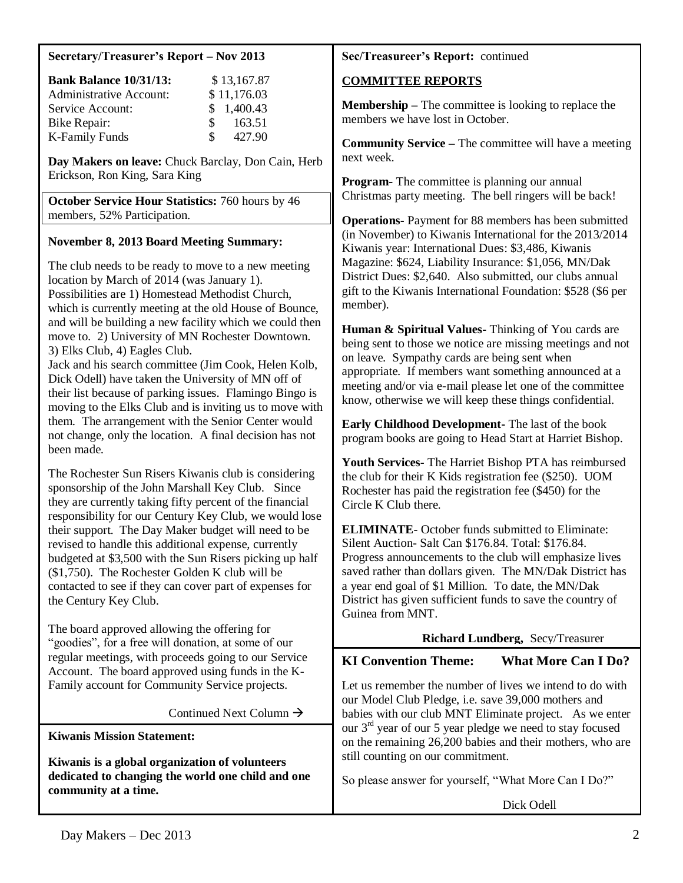#### **Secretary/Treasurer's Report – Nov 2013**

| <b>Bank Balance 10/31/13:</b>  | \$13,167.87  |  |
|--------------------------------|--------------|--|
| <b>Administrative Account:</b> | \$11,176.03  |  |
| Service Account:               | \$1,400.43   |  |
| Bike Repair:                   | 163.51<br>£. |  |
| <b>K-Family Funds</b>          | 427.90<br>S. |  |

**Day Makers on leave:** Chuck Barclay, Don Cain, Herb Erickson, Ron King, Sara King

**October Service Hour Statistics:** 760 hours by 46 members, 52% Participation.

## **November 8, 2013 Board Meeting Summary:**

The club needs to be ready to move to a new meeting location by March of 2014 (was January 1). Possibilities are 1) Homestead Methodist Church, which is currently meeting at the old House of Bounce, and will be building a new facility which we could then move to. 2) University of MN Rochester Downtown. 3) Elks Club, 4) Eagles Club.

Jack and his search committee (Jim Cook, Helen Kolb, Dick Odell) have taken the University of MN off of their list because of parking issues. Flamingo Bingo is moving to the Elks Club and is inviting us to move with them. The arrangement with the Senior Center would not change, only the location. A final decision has not been made.

The Rochester Sun Risers Kiwanis club is considering sponsorship of the John Marshall Key Club. Since they are currently taking fifty percent of the financial responsibility for our Century Key Club, we would lose their support. The Day Maker budget will need to be revised to handle this additional expense, currently budgeted at \$3,500 with the Sun Risers picking up half (\$1,750). The Rochester Golden K club will be contacted to see if they can cover part of expenses for the Century Key Club.

The board approved allowing the offering for "goodies", for a free will donation, at some of our regular meetings, with proceeds going to our Service Account. The board approved using funds in the K-Family account for Community Service projects.

Continued Next Column  $\rightarrow$ 

**Kiwanis Mission Statement:**

**Kiwanis is a global organization of volunteers dedicated to changing the world one child and one community at a time.**

## **Sec/Treasureer's Report:** continued

## **COMMITTEE REPORTS**

**Membership –** The committee is looking to replace the members we have lost in October.

**Community Service –** The committee will have a meeting next week.

**Program-** The committee is planning our annual Christmas party meeting. The bell ringers will be back!

**Operations-** Payment for 88 members has been submitted (in November) to Kiwanis International for the 2013/2014 Kiwanis year: International Dues: \$3,486, Kiwanis Magazine: \$624, Liability Insurance: \$1,056, MN/Dak District Dues: \$2,640. Also submitted, our clubs annual gift to the Kiwanis International Foundation: \$528 (\$6 per member).

**Human & Spiritual Values-** Thinking of You cards are being sent to those we notice are missing meetings and not on leave. Sympathy cards are being sent when appropriate. If members want something announced at a meeting and/or via e-mail please let one of the committee know, otherwise we will keep these things confidential.

**Early Childhood Development-** The last of the book program books are going to Head Start at Harriet Bishop.

**Youth Services-** The Harriet Bishop PTA has reimbursed the club for their K Kids registration fee (\$250). UOM Rochester has paid the registration fee (\$450) for the Circle K Club there.

**ELIMINATE**- October funds submitted to Eliminate: Silent Auction- Salt Can \$176.84. Total: \$176.84. Progress announcements to the club will emphasize lives saved rather than dollars given. The MN/Dak District has a year end goal of \$1 Million. To date, the MN/Dak District has given sufficient funds to save the country of Guinea from MNT.

## **Richard Lundberg,** Secy/Treasurer

# **KI Convention Theme: What More Can I Do?**

Let us remember the number of lives we intend to do with our Model Club Pledge, i.e. save 39,000 mothers and babies with our club MNT Eliminate project. As we enter our 3rd year of our 5 year pledge we need to stay focused on the remaining 26,200 babies and their mothers, who are still counting on our commitment.

So please answer for yourself, "What More Can I Do?"

Dick Odell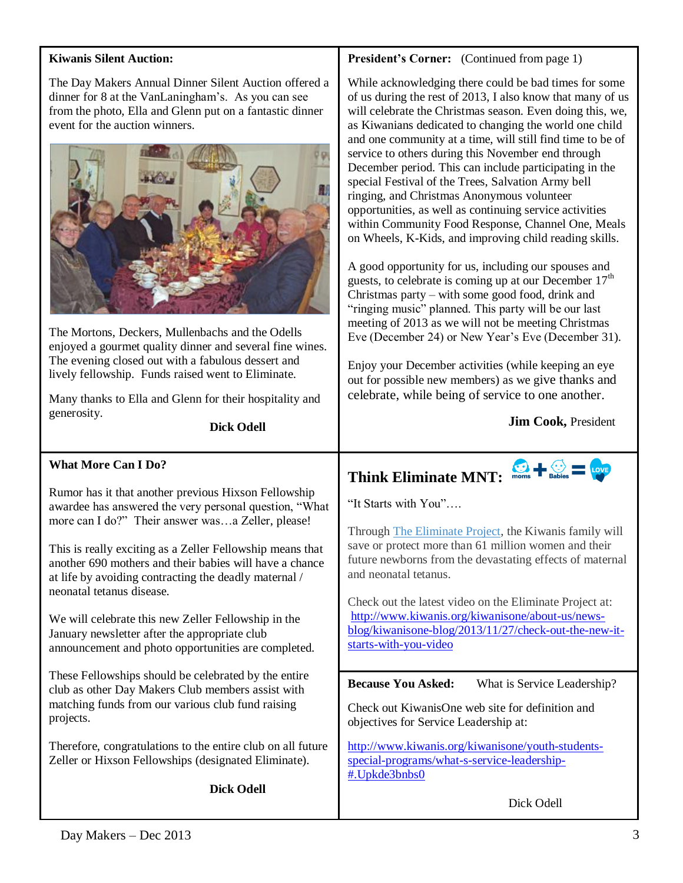#### **Kiwanis Silent Auction:**

The Day Makers Annual Dinner Silent Auction offered a dinner for 8 at the VanLaningham's. As you can see from the photo, Ella and Glenn put on a fantastic dinner event for the auction winners.



The Mortons, Deckers, Mullenbachs and the Odells enjoyed a gourmet quality dinner and several fine wines. The evening closed out with a fabulous dessert and lively fellowship. Funds raised went to Eliminate.

Many thanks to Ella and Glenn for their hospitality and generosity.

**Dick Odell**

#### **What More Can I Do?**

Rumor has it that another previous Hixson Fellowship awardee has answered the very personal question, "What more can I do?" Their answer was…a Zeller, please!

This is really exciting as a Zeller Fellowship means that another 690 mothers and their babies will have a chance at life by avoiding contracting the deadly maternal / neonatal tetanus disease.

We will celebrate this new Zeller Fellowship in the January newsletter after the appropriate club announcement and photo opportunities are completed.

These Fellowships should be celebrated by the entire club as other Day Makers Club members assist with matching funds from our various club fund raising projects.

Therefore, congratulations to the entire club on all future Zeller or Hixson Fellowships (designated Eliminate).

**Dick Odell**

#### **President's Corner:** (Continued from page 1)

While acknowledging there could be bad times for some of us during the rest of 2013, I also know that many of us will celebrate the Christmas season. Even doing this, we, as Kiwanians dedicated to changing the world one child and one community at a time, will still find time to be of service to others during this November end through December period. This can include participating in the special Festival of the Trees, Salvation Army bell ringing, and Christmas Anonymous volunteer opportunities, as well as continuing service activities within Community Food Response, Channel One, Meals on Wheels, K-Kids, and improving child reading skills.

A good opportunity for us, including our spouses and guests, to celebrate is coming up at our December  $17<sup>th</sup>$ Christmas party – with some good food, drink and "ringing music" planned. This party will be our last meeting of 2013 as we will not be meeting Christmas Eve (December 24) or New Year's Eve (December 31).

Enjoy your December activities (while keeping an eye out for possible new members) as we give thanks and celebrate, while being of service to one another.

**Jim Cook,** President

# Think Eliminate MNT: moms + Sabies = Love

"It Starts with You"….

Through [The Eliminate Project,](http://sites.kiwanis.org/Kiwanis/en/theELIMINATEproject/home.aspx) the Kiwanis family will save or protect more than 61 million women and their future newborns from the devastating effects of maternal and neonatal tetanus.

Check out the latest video on the Eliminate Project at: [http://www.kiwanis.org/kiwanisone/about-us/news](http://www.kiwanis.org/kiwanisone/about-us/news-blog/kiwanisone-blog/2013/11/27/check-out-the-new-it-starts-with-you-video)[blog/kiwanisone-blog/2013/11/27/check-out-the-new-it](http://www.kiwanis.org/kiwanisone/about-us/news-blog/kiwanisone-blog/2013/11/27/check-out-the-new-it-starts-with-you-video)[starts-with-you-video](http://www.kiwanis.org/kiwanisone/about-us/news-blog/kiwanisone-blog/2013/11/27/check-out-the-new-it-starts-with-you-video)

**Because You Asked:** What is Service Leadership?

Check out KiwanisOne web site for definition and objectives for Service Leadership at:

[http://www.kiwanis.org/kiwanisone/youth-students](http://www.kiwanis.org/kiwanisone/youth-students-special-programs/what-s-service-leadership-#.Upkde3bnbs0)[special-programs/what-s-service-leadership-](http://www.kiwanis.org/kiwanisone/youth-students-special-programs/what-s-service-leadership-#.Upkde3bnbs0) [#.Upkde3bnbs0](http://www.kiwanis.org/kiwanisone/youth-students-special-programs/what-s-service-leadership-#.Upkde3bnbs0)

Dick Odell